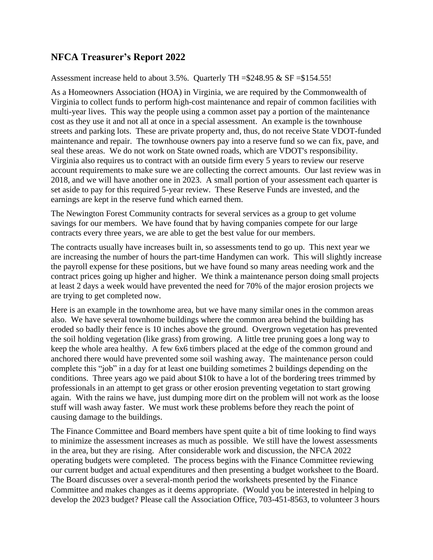## **NFCA Treasurer's Report 2022**

Assessment increase held to about 3.5%. Quarterly TH =\$248.95 & SF =\$154.55!

As a Homeowners Association (HOA) in Virginia, we are required by the Commonwealth of Virginia to collect funds to perform high-cost maintenance and repair of common facilities with multi-year lives. This way the people using a common asset pay a portion of the maintenance cost as they use it and not all at once in a special assessment. An example is the townhouse streets and parking lots. These are private property and, thus, do not receive State VDOT-funded maintenance and repair. The townhouse owners pay into a reserve fund so we can fix, pave, and seal these areas. We do not work on State owned roads, which are VDOT's responsibility. Virginia also requires us to contract with an outside firm every 5 years to review our reserve account requirements to make sure we are collecting the correct amounts. Our last review was in 2018, and we will have another one in 2023. A small portion of your assessment each quarter is set aside to pay for this required 5-year review. These Reserve Funds are invested, and the earnings are kept in the reserve fund which earned them.

The Newington Forest Community contracts for several services as a group to get volume savings for our members. We have found that by having companies compete for our large contracts every three years, we are able to get the best value for our members.

The contracts usually have increases built in, so assessments tend to go up. This next year we are increasing the number of hours the part-time Handymen can work. This will slightly increase the payroll expense for these positions, but we have found so many areas needing work and the contract prices going up higher and higher. We think a maintenance person doing small projects at least 2 days a week would have prevented the need for 70% of the major erosion projects we are trying to get completed now.

Here is an example in the townhome area, but we have many similar ones in the common areas also. We have several townhome buildings where the common area behind the building has eroded so badly their fence is 10 inches above the ground. Overgrown vegetation has prevented the soil holding vegetation (like grass) from growing. A little tree pruning goes a long way to keep the whole area healthy. A few 6x6 timbers placed at the edge of the common ground and anchored there would have prevented some soil washing away. The maintenance person could complete this "job" in a day for at least one building sometimes 2 buildings depending on the conditions. Three years ago we paid about \$10k to have a lot of the bordering trees trimmed by professionals in an attempt to get grass or other erosion preventing vegetation to start growing again. With the rains we have, just dumping more dirt on the problem will not work as the loose stuff will wash away faster. We must work these problems before they reach the point of causing damage to the buildings.

The Finance Committee and Board members have spent quite a bit of time looking to find ways to minimize the assessment increases as much as possible. We still have the lowest assessments in the area, but they are rising. After considerable work and discussion, the NFCA 2022 operating budgets were completed. The process begins with the Finance Committee reviewing our current budget and actual expenditures and then presenting a budget worksheet to the Board. The Board discusses over a several-month period the worksheets presented by the Finance Committee and makes changes as it deems appropriate. (Would you be interested in helping to develop the 2023 budget? Please call the Association Office, 703-451-8563, to volunteer 3 hours